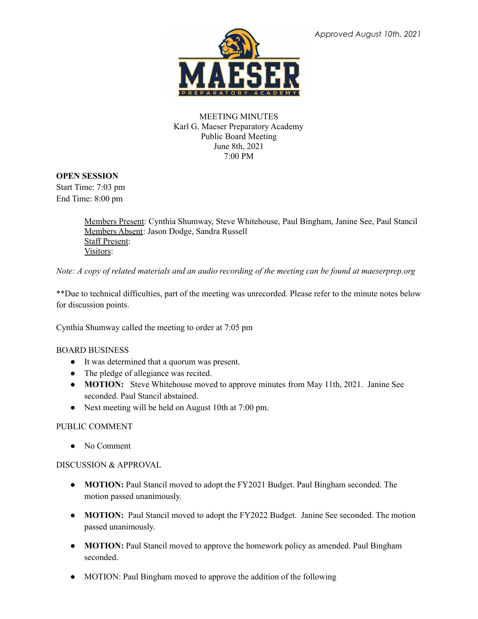

### MEETING MINUTES Karl G. Maeser Preparatory Academy Public Board Meeting June 8th, 2021 7:00 PM

## **OPEN SESSION**

Start Time: 7:03 pm End Time: 8:00 pm

> Members Present: Cynthia Shumway, Steve Whitehouse, Paul Bingham, Janine See, Paul Stancil Members Absent: Jason Dodge, Sandra Russell Staff Present: Visitors:

Note: A copy of related materials and an audio recording of the meeting can be found at maeserprep.org

\*\*Due to technical difficulties, part of the meeting was unrecorded. Please refer to the minute notes below for discussion points.

Cynthia Shumway called the meeting to order at 7:05 pm

# BOARD BUSINESS

- It was determined that a quorum was present.
- The pledge of allegiance was recited.
- **MOTION:** Steve Whitehouse moved to approve minutes from May 11th, 2021. Janine See seconded. Paul Stancil abstained.
- Next meeting will be held on August 10th at 7:00 pm.

### PUBLIC COMMENT

● No Comment

### DISCUSSION & APPROVAL

- **MOTION:** Paul Stancil moved to adopt the FY2021 Budget. Paul Bingham seconded. The motion passed unanimously.
- **MOTION:** Paul Stancil moved to adopt the FY2022 Budget. Janine See seconded. The motion passed unanimously.
- **● MOTION:** Paul Stancil moved to approve the homework policy as amended. Paul Bingham seconded.
- MOTION: Paul Bingham moved to approve the addition of the following